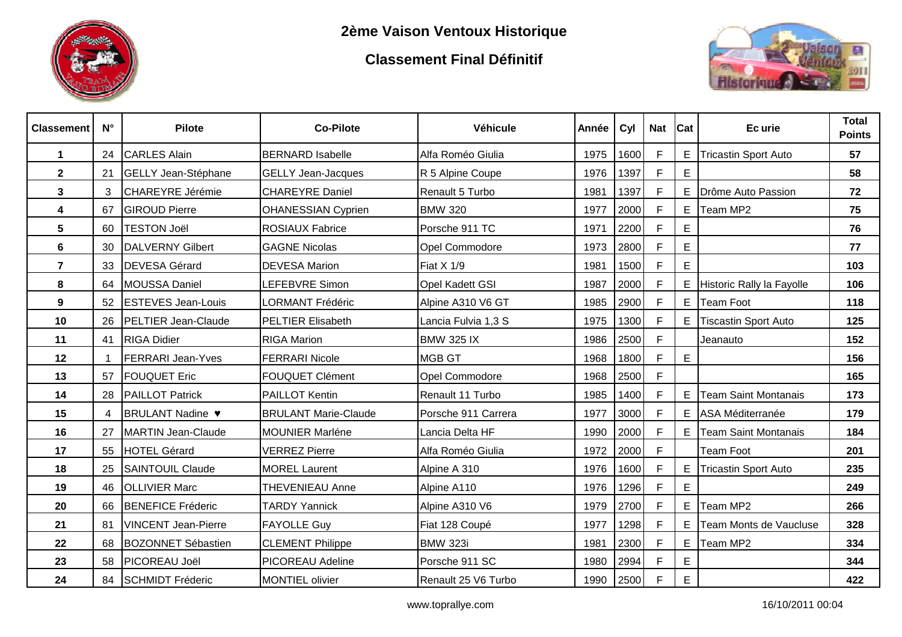

## **Classement Final Définitif**



| <b>Classement</b> | $N^{\circ}$ | <b>Pilote</b>                       | <b>Co-Pilote</b>            | Véhicule               | Année | Cyl  | <b>Nat</b>   | <b>Cat</b> | Ec urie                     | <b>Total</b><br><b>Points</b> |
|-------------------|-------------|-------------------------------------|-----------------------------|------------------------|-------|------|--------------|------------|-----------------------------|-------------------------------|
| $\mathbf{1}$      | 24          | <b>CARLES Alain</b>                 | <b>BERNARD Isabelle</b>     | Alfa Roméo Giulia      | 1975  | 1600 | $\mathsf{F}$ | Ε          | <b>Tricastin Sport Auto</b> | 57                            |
| $\overline{2}$    | 21          | GELLY Jean-Stéphane                 | <b>GELLY Jean-Jacques</b>   | R 5 Alpine Coupe       | 1976  | 1397 | F            | E          |                             | 58                            |
| 3                 | 3           | CHAREYRE Jérémie                    | <b>CHAREYRE Daniel</b>      | Renault 5 Turbo        | 1981  | 1397 | F            | Е          | Drôme Auto Passion          | 72                            |
| 4                 | 67          | <b>GIROUD Pierre</b>                | <b>OHANESSIAN Cyprien</b>   | <b>BMW 320</b>         | 1977  | 2000 | F            | Е          | Team MP2                    | 75                            |
| 5                 | 60          | <b>TESTON Joël</b>                  | <b>ROSIAUX Fabrice</b>      | Porsche 911 TC         | 1971  | 2200 | F            | Е          |                             | 76                            |
| 6                 | 30          | <b>DALVERNY Gilbert</b>             | <b>GAGNE Nicolas</b>        | Opel Commodore         | 1973  | 2800 | F            | E          |                             | 77                            |
| $\overline{7}$    | 33          | <b>DEVESA Gérard</b>                | <b>DEVESA Marion</b>        | Fiat X 1/9             | 1981  | 1500 | F            | E          |                             | 103                           |
| 8                 | 64          | MOUSSA Daniel                       | LEFEBVRE Simon              | <b>Opel Kadett GSI</b> | 1987  | 2000 | F            | E.         | Historic Rally la Fayolle   | 106                           |
| 9                 | 52          | <b>ESTEVES Jean-Louis</b>           | <b>LORMANT Frédéric</b>     | Alpine A310 V6 GT      | 1985  | 2900 | $\mathsf{F}$ | Е          | <b>Team Foot</b>            | 118                           |
| 10                | 26          | <b>PELTIER Jean-Claude</b>          | <b>PELTIER Elisabeth</b>    | Lancia Fulvia 1,3 S    | 1975  | 1300 | F            | E.         | <b>Tiscastin Sport Auto</b> | 125                           |
| 11                |             | 41 RIGA Didier                      | <b>RIGA Marion</b>          | <b>BMW 325 IX</b>      | 1986  | 2500 | $\mathsf{F}$ |            | Jeanauto                    | 152                           |
| 12                | 1           | <b>FERRARI Jean-Yves</b>            | <b>FERRARI Nicole</b>       | <b>MGB GT</b>          | 1968  | 1800 | F            | E          |                             | 156                           |
| 13                | 57          | <b>FOUQUET Eric</b>                 | <b>FOUQUET Clément</b>      | Opel Commodore         | 1968  | 2500 | F            |            |                             | 165                           |
| 14                | 28          | <b>PAILLOT Patrick</b>              | <b>PAILLOT Kentin</b>       | Renault 11 Turbo       | 1985  | 1400 | F            | Ε          | <b>Team Saint Montanais</b> | 173                           |
| 15                | 4           | BRULANT Nadine $\blacktriangledown$ | <b>BRULANT Marie-Claude</b> | Porsche 911 Carrera    | 1977  | 3000 | F            | Е          | ASA Méditerranée            | 179                           |
| 16                | 27          | MARTIN Jean-Claude                  | <b>MOUNIER Marléne</b>      | Lancia Delta HF        | 1990  | 2000 | F            | Е          | <b>Team Saint Montanais</b> | 184                           |
| 17                | 55          | HOTEL Gérard                        | <b>VERREZ Pierre</b>        | Alfa Roméo Giulia      | 1972  | 2000 | F            |            | <b>Team Foot</b>            | 201                           |
| 18                | 25          | <b>SAINTOUIL Claude</b>             | <b>MOREL Laurent</b>        | Alpine A 310           | 1976  | 1600 | E            | Ε          | <b>Tricastin Sport Auto</b> | 235                           |
| 19                | 46          | <b>OLLIVIER Marc</b>                | <b>THEVENIEAU Anne</b>      | Alpine A110            | 1976  | 1296 | F            | E          |                             | 249                           |
| 20                | 66          | <b>BENEFICE Fréderic</b>            | <b>TARDY Yannick</b>        | Alpine A310 V6         | 1979  | 2700 | F            | E.         | Team MP2                    | 266                           |
| 21                | 81          | <b>VINCENT Jean-Pierre</b>          | <b>FAYOLLE Guy</b>          | Fiat 128 Coupé         | 1977  | 1298 | F            | Е          | Team Monts de Vaucluse      | 328                           |
| 22                | 68          | <b>BOZONNET Sébastien</b>           | <b>CLEMENT Philippe</b>     | <b>BMW 323i</b>        | 1981  | 2300 | F            | Е          | Team MP2                    | 334                           |
| 23                | 58          | <b>PICOREAU Joël</b>                | PICOREAU Adeline            | Porsche 911 SC         | 1980  | 2994 | F            | Е          |                             | 344                           |
| 24                | 84          | SCHMIDT Fréderic                    | <b>MONTIEL olivier</b>      | Renault 25 V6 Turbo    | 1990  | 2500 | F            | E          |                             | 422                           |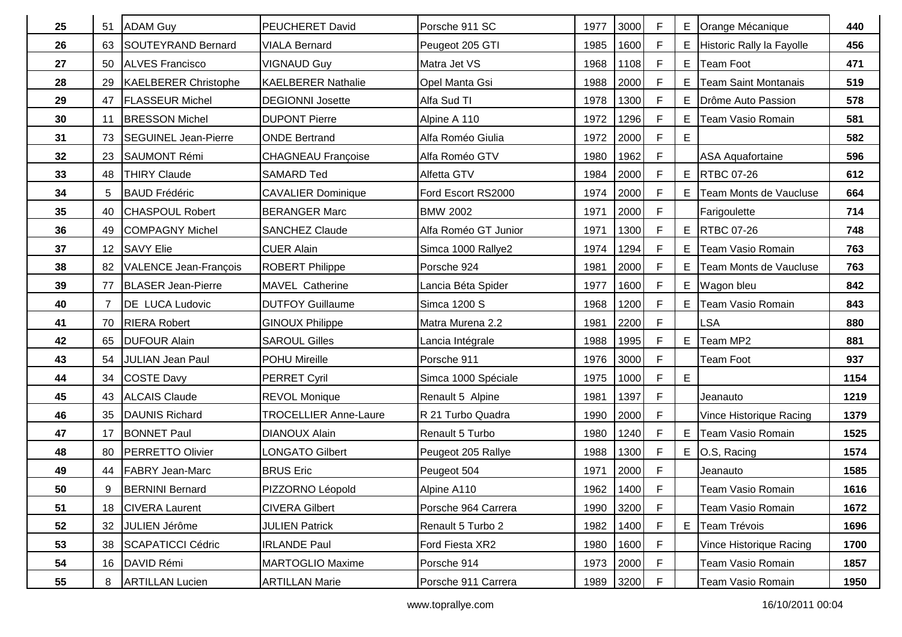| 25 | 51              | <b>ADAM Guy</b>              | <b>PEUCHERET David</b>       | Porsche 911 SC       | 1977 | 3000 | $\mathsf{F}$ | Е | Orange Mécanique          | 440  |
|----|-----------------|------------------------------|------------------------------|----------------------|------|------|--------------|---|---------------------------|------|
| 26 | 63              | SOUTEYRAND Bernard           | <b>VIALA Bernard</b>         | Peugeot 205 GTI      | 1985 | 1600 | $\mathsf F$  | E | Historic Rally la Fayolle | 456  |
| 27 | 50              | <b>ALVES Francisco</b>       | <b>VIGNAUD Guy</b>           | Matra Jet VS         | 1968 | 1108 | F            | Е | <b>Team Foot</b>          | 471  |
| 28 | 29              | <b>KAELBERER Christophe</b>  | <b>KAELBERER Nathalie</b>    | Opel Manta Gsi       | 1988 | 2000 | $\mathsf F$  | Е | Team Saint Montanais      | 519  |
| 29 | 47              | <b>FLASSEUR Michel</b>       | <b>DEGIONNI Josette</b>      | Alfa Sud TI          | 1978 | 1300 | F            | Е | Drôme Auto Passion        | 578  |
| 30 | 11              | <b>BRESSON Michel</b>        | <b>DUPONT Pierre</b>         | Alpine A 110         | 1972 | 1296 | $\mathsf F$  | Е | Team Vasio Romain         | 581  |
| 31 | 73              | <b>SEGUINEL Jean-Pierre</b>  | <b>ONDE Bertrand</b>         | Alfa Roméo Giulia    | 1972 | 2000 | F            | E |                           | 582  |
| 32 | 23              | <b>SAUMONT Rémi</b>          | <b>CHAGNEAU Françoise</b>    | Alfa Roméo GTV       | 1980 | 1962 | F            |   | <b>ASA Aquafortaine</b>   | 596  |
| 33 | 48              | <b>THIRY Claude</b>          | <b>SAMARD Ted</b>            | <b>Alfetta GTV</b>   | 1984 | 2000 | $\mathsf{F}$ | E | <b>RTBC 07-26</b>         | 612  |
| 34 | 5               | <b>BAUD Frédéric</b>         | <b>CAVALIER Dominique</b>    | Ford Escort RS2000   | 1974 | 2000 | $\mathsf{F}$ | E | Team Monts de Vaucluse    | 664  |
| 35 | 40              | <b>CHASPOUL Robert</b>       | <b>BERANGER Marc</b>         | <b>BMW 2002</b>      | 1971 | 2000 | $\mathsf{F}$ |   | Farigoulette              | 714  |
| 36 | 49              | <b>COMPAGNY Michel</b>       | <b>SANCHEZ Claude</b>        | Alfa Roméo GT Junior | 1971 | 1300 | $\mathsf{F}$ | E | <b>RTBC 07-26</b>         | 748  |
| 37 |                 | 12 SAVY Elie                 | <b>CUER Alain</b>            | Simca 1000 Rallye2   | 1974 | 1294 | F            | Е | Team Vasio Romain         | 763  |
| 38 | 82              | <b>VALENCE Jean-François</b> | <b>ROBERT Philippe</b>       | Porsche 924          | 1981 | 2000 | F            | Е | Team Monts de Vaucluse    | 763  |
| 39 | 77              | <b>BLASER Jean-Pierre</b>    | MAVEL Catherine              | Lancia Béta Spider   | 1977 | 1600 | F            | Ε | Wagon bleu                | 842  |
| 40 | 7               | <b>DE LUCA Ludovic</b>       | <b>DUTFOY Guillaume</b>      | <b>Simca 1200 S</b>  | 1968 | 1200 | F            | Е | Team Vasio Romain         | 843  |
| 41 | 70              | <b>RIERA Robert</b>          | <b>GINOUX Philippe</b>       | Matra Murena 2.2     | 1981 | 2200 | F            |   | <b>LSA</b>                | 880  |
| 42 | 65              | <b>DUFOUR Alain</b>          | <b>SAROUL Gilles</b>         | Lancia Intégrale     | 1988 | 1995 | F            | Е | Team MP2                  | 881  |
| 43 | 54              | <b>JULIAN Jean Paul</b>      | <b>POHU Mireille</b>         | Porsche 911          | 1976 | 3000 | F            |   | <b>Team Foot</b>          | 937  |
| 44 | 34              | COSTE Davy                   | <b>PERRET Cyril</b>          | Simca 1000 Spéciale  | 1975 | 1000 | F            | E |                           | 1154 |
| 45 | 43              | <b>ALCAIS Claude</b>         | <b>REVOL Monique</b>         | Renault 5 Alpine     | 1981 | 1397 | F            |   | Jeanauto                  | 1219 |
| 46 | 35              | <b>DAUNIS Richard</b>        | <b>TROCELLIER Anne-Laure</b> | R 21 Turbo Quadra    | 1990 | 2000 | F            |   | Vince Historique Racing   | 1379 |
| 47 | 17              | <b>BONNET Paul</b>           | <b>DIANOUX Alain</b>         | Renault 5 Turbo      | 1980 | 1240 | $\mathsf F$  | Е | Team Vasio Romain         | 1525 |
| 48 | 80              | <b>PERRETTO Olivier</b>      | LONGATO Gilbert              | Peugeot 205 Rallye   | 1988 | 1300 | F            | Е | O.S. Racing               | 1574 |
| 49 | 44              | <b>FABRY Jean-Marc</b>       | <b>BRUS Eric</b>             | Peugeot 504          | 1971 | 2000 | F            |   | Jeanauto                  | 1585 |
| 50 | 9               | <b>BERNINI Bernard</b>       | PIZZORNO Léopold             | Alpine A110          | 1962 | 1400 | F            |   | Team Vasio Romain         | 1616 |
| 51 | 18              | <b>CIVERA Laurent</b>        | <b>CIVERA Gilbert</b>        | Porsche 964 Carrera  | 1990 | 3200 | $\mathsf F$  |   | Team Vasio Romain         | 1672 |
| 52 | 32 <sub>2</sub> | JULIEN Jérôme                | <b>JULIEN Patrick</b>        | Renault 5 Turbo 2    | 1982 | 1400 | F            | Ε | Team Trévois              | 1696 |
| 53 | 38              | <b>SCAPATICCI Cédric</b>     | <b>IRLANDE Paul</b>          | Ford Fiesta XR2      | 1980 | 1600 | F            |   | Vince Historique Racing   | 1700 |
| 54 | 16              | DAVID Rémi                   | <b>MARTOGLIO Maxime</b>      | Porsche 914          | 1973 | 2000 | F            |   | Team Vasio Romain         | 1857 |
| 55 | 8               | <b>ARTILLAN Lucien</b>       | <b>ARTILLAN Marie</b>        | Porsche 911 Carrera  | 1989 | 3200 | F            |   | Team Vasio Romain         | 1950 |